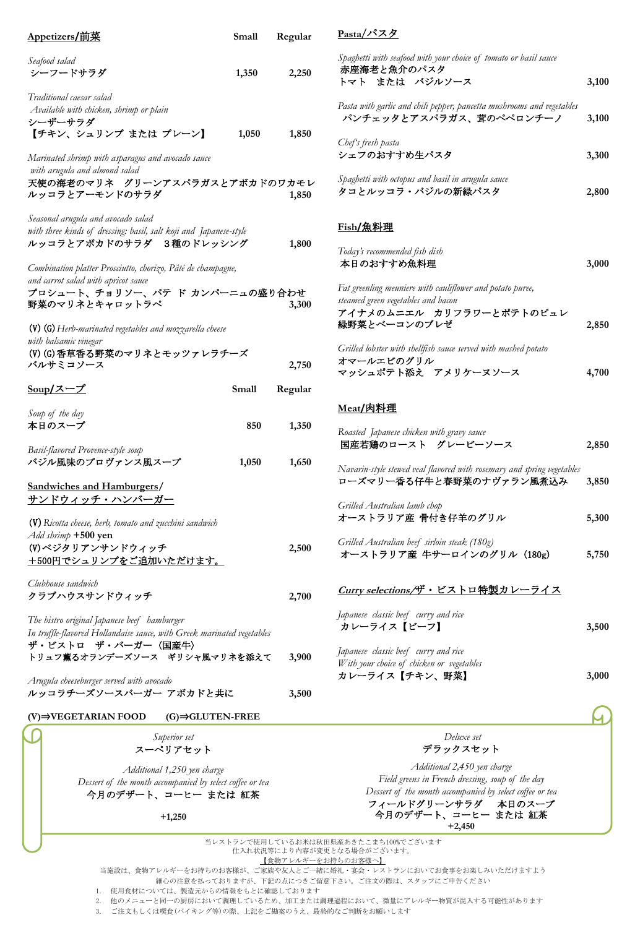| Appetizers/前菜                                                                                                                                                               | Small | Regular |
|-----------------------------------------------------------------------------------------------------------------------------------------------------------------------------|-------|---------|
| Seafood salad<br>シーフードサラダ                                                                                                                                                   | 1,350 | 2,250   |
| Traditional caesar salad<br>Available with chicken, shrimp or plain<br>シーザーサラダ<br>【チキン、シュリンプ または プレーン】                                                                      | 1,050 | 1,850   |
| Marinated shrimp with asparagus and avocado sauce<br>with arugula and almond salad<br>天使の海老のマリネ グリーンアスパラガスとアボカドのワカモレ<br>ルッコラとアーモンドのサラダ                                      |       | 1,850   |
| Seasonal arugula and avocado salad<br>with three kinds of dressing: basil, salt koji and Japanese-style<br>ルッコラとアボカドのサラダ 3種のドレッシング                                          |       | 1,800   |
| Combination platter Prosciutto, chorizo, Pâté de champagne,<br>and carrot salad with apricot sauce<br>プロシュート、チョリソー、パテ ド カンパーニュの盛り合わせ<br>野菜のマリネとキャロットラペ                      |       | 3,300   |
| $(V)$ (G) Herb-marinated vegetables and mozzarella cheese<br>with balsamic vinegar<br>(V) (G)香草香る野菜のマリネとモッツァレラチーズ<br>バルサミコソース                                               |       | 2,750   |
| <u>Soup/スープ</u>                                                                                                                                                             | Small | Regular |
| Soup of the day<br>本日のスープ                                                                                                                                                   | 850   | 1,350   |
| Basil-flavored Provence-style soup<br>バジル風味のプロヴァンス風スープ                                                                                                                      | 1,050 | 1,650   |
| <b>Sandwiches and Hamburgers/</b><br><u> サンドウィッチ・ハンバーガー</u>                                                                                                                 |       |         |
| (V) Ricotta cheese, herb, tomato and zucchini sandwich<br>Add shrimp +500 yen<br>(V)ベジタリアンサンドウィッチ<br><u>+500円でシュリンプをご追加いただけます。</u>                                          |       | 2,500   |
| Clubhouse sandwich                                                                                                                                                          |       |         |
| クラブハウスサンドウィッチ                                                                                                                                                               |       | 2,700   |
| The bistro original Japanese beef hamburger<br>In truffle-flavored Hollandaise sauce, with Greek marinated vegetables<br>ザ・ビストロ ザ・バーガー〈国産牛〉<br>トリュフ薫るオランデーズソース ギリシャ風マリネを添えて |       | 3,900   |
| Arugula cheeseburger served with avocado<br>ルッコラチーズソースバーガー アボカドと共に                                                                                                          |       | 3,500   |
| $(V) \rightarrow VEGETARIAN{}$ FOOD<br>$(G) \rightarrow GLUTEN-FREE$                                                                                                        |       |         |
| Superior set<br>スーペリアセット                                                                                                                                                    |       |         |

トマト または バジルソース **3,100** *Pasta with garlic and chili pepper, pancetta mushrooms and vegetables*  パンチェッタとアスパラガス、茸のペペロンチーノ **3,100** *Chef's fresh pasta* シェフのおすすめ生パスタ **3,300** *Spaghetti with octopus and basil in arugula sauce* タコとルッコラ・バジルの新緑パスタ **2,800 Fish/**魚料理 *Today's recommended fish dish*  本日のおすすめ魚料理 **3,000** *Fat greenling meuniere with cauliflower and potato puree, steamed green vegetables and bacon* アイナメのムニエル カリフラワーとポテトのピュレ 緑野菜とベーコンのブレゼ **2,850** *Grilled lobster with shellfish sauce served with mashed potato*  オマールエビのグリル マッシュポテト添え アメリケーヌソース **4,700 Meat/**肉料理 *Roasted Japanese chicken with gravy sauce*  国産若鶏のロースト グレービーソース **2,850** *Navarin-style stewed veal flavored with rosemary and spring vegetables* ローズマリー香る仔牛と春野菜のナヴァラン風煮込み **3,850** *Grilled Australian lamb chop* オーストラリア産 骨付き仔羊のグリル **5,300** *Grilled Australian beef sirloin steak (180g)* オーストラリア産 牛サーロインのグリル (180g) **5,750 Curry selections**/ザ・ビストロ特製カレーライス *Japanese classic beef curry and rice*  カレーライス【ビーフ】 **3,500**

**Pasta**/パスタ

赤座海老と魚介のパスタ

*Spaghetti with seafood with your choice of tomato or basil sauce* 

*Japanese classic beef curry and rice With your choice of chicken or vegetables* カレーライス【チキン、野菜】 **3,000**

> *Deluxe set* デラックスセット

*Additional 2,450 yen charge Field greens in French dressing, soup of the day Dessert of the month accompanied by select coffee or tea* フィールドグリーンサラダ 本日のスープ 今月のデザート、コーヒー または 紅茶 **+2,450**

当レストランで使用しているお米は秋田県産あきたこまち100%でございます 仕入れ状況等により内容が変更となる場合がございます。

【食物アレルギーをお持ちのお客様へ】

当施設は、食物アレルギーをお持ちのお客様が、ご家族や友人とご一緒に婚礼・宴会・レストランにおいてお食事をお楽しみいただけますよう

細心の注意を払っておりますが、下記の点につきご留意下さい。ご注文の際は、スタッフにご申告ください

1. 使用食材については、製造元からの情報をもとに確認しております

*Dessert of the month accompanied by select coffee or tea* 今月のデザート、コーヒー または 紅茶

**+1,250**

2. 他のメニューと同一の厨房において調理しているため、加工または調理過程において、微量にアレルギー物質が混入する可能性があります

3. ご注文もしくは喫食(バイキング等)の際、上記をご勘案のうえ、最終的なご判断をお願いします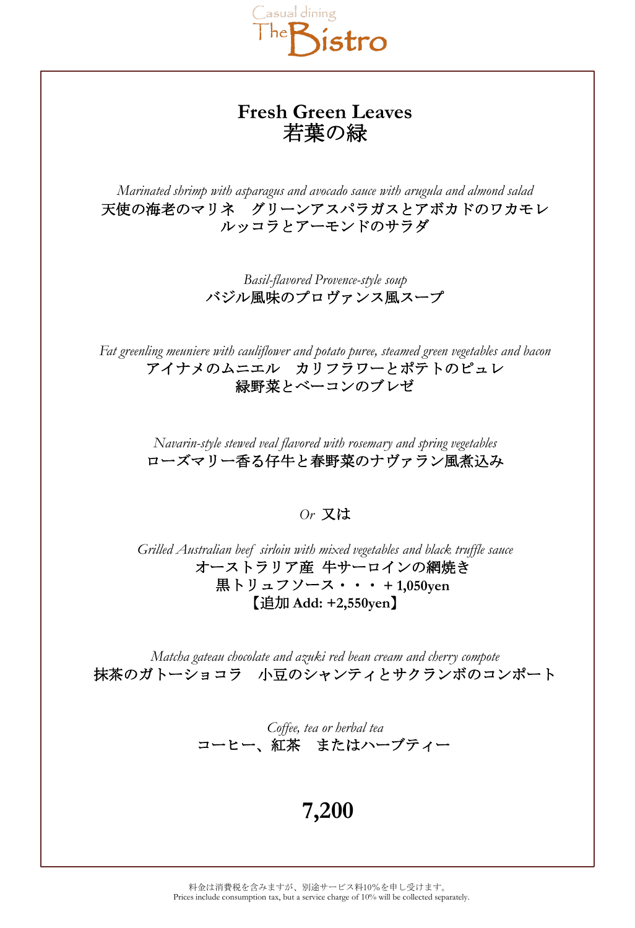

## **Fresh Green Leaves** 若葉の緑

*Marinated shrimp with asparagus and avocado sauce with arugula and almond salad* 天使の海老のマリネ グリーンアスパラガスとアボカドのワカモレ ルッコラとアーモンドのサラダ

> *Basil-flavored Provence-style soup* バジル風味のプロヴァンス風スープ

*Fat greenling meuniere with cauliflower and potato puree, steamed green vegetables and bacon* アイナメのムニエル カリフラワーとポテトのピュレ 緑野菜とベーコンのブレゼ

> *Navarin-style stewed veal flavored with rosemary and spring vegetables* ローズマリー香る仔牛と春野菜のナヴァラン風煮込み

> > *Or* 又は

*Grilled Australian beef sirloin with mixed vegetables and black truffle sauce* オーストラリア産 牛サーロインの網焼き 黒トリュフソース・・・ **+ 1,050yen** 【追加 **Add: +2,550yen**】

*Matcha gateau chocolate and azuki red bean cream and cherry compote* 抹茶のガトーショコラ 小豆のシャンティとサクランボのコンポート

> *Coffee, tea or herbal tea* コーヒー、紅茶 またはハーブティー

> > **7,200**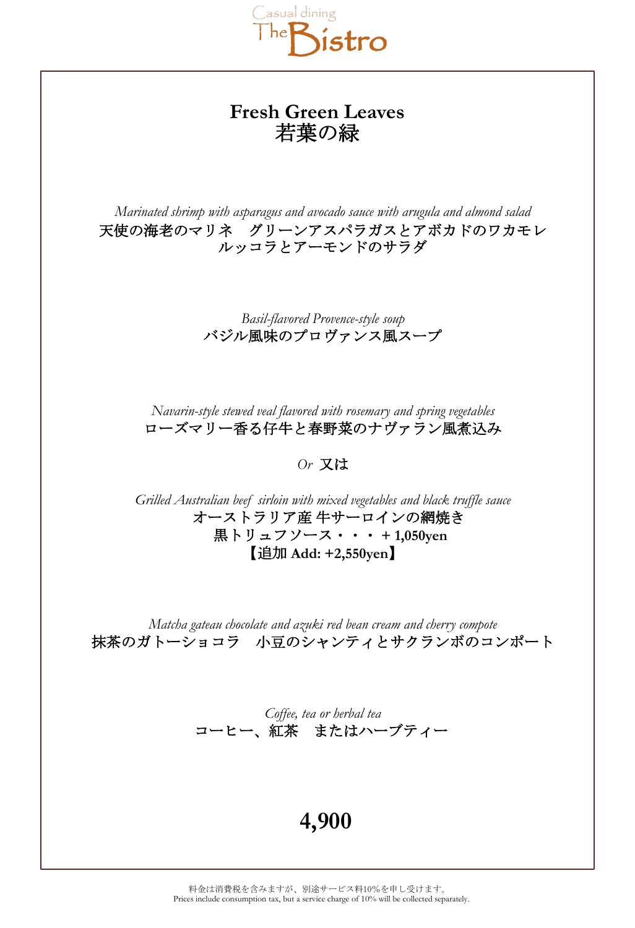

## **Fresh Green Leaves** 若葉の緑

*Marinated shrimp with asparagus and avocado sauce with arugula and almond salad* 天使の海老のマリネ グリーンアスパラガスとアボカドのワカモレ ルッコラとアーモンドのサラダ

> *Basil-flavored Provence-style soup* バジル風味のプロヴァンス風スープ

*Navarin-style stewed veal flavored with rosemary and spring vegetables* ローズマリー香る仔牛と春野菜のナヴァラン風煮込み

*Or* 又は

*Grilled Australian beef sirloin with mixed vegetables and black truffle sauce* オーストラリア産 牛サーロインの網焼き 黒トリュフソース・・・ **+ 1,050yen** 【追加 **Add: +2,550yen**】

*Matcha gateau chocolate and azuki red bean cream and cherry compote* 抹茶のガトーショコラ 小豆のシャンティとサクランボのコンポート

> *Coffee, tea or herbal tea* コーヒー、紅茶 またはハーブティー

## **4,900**